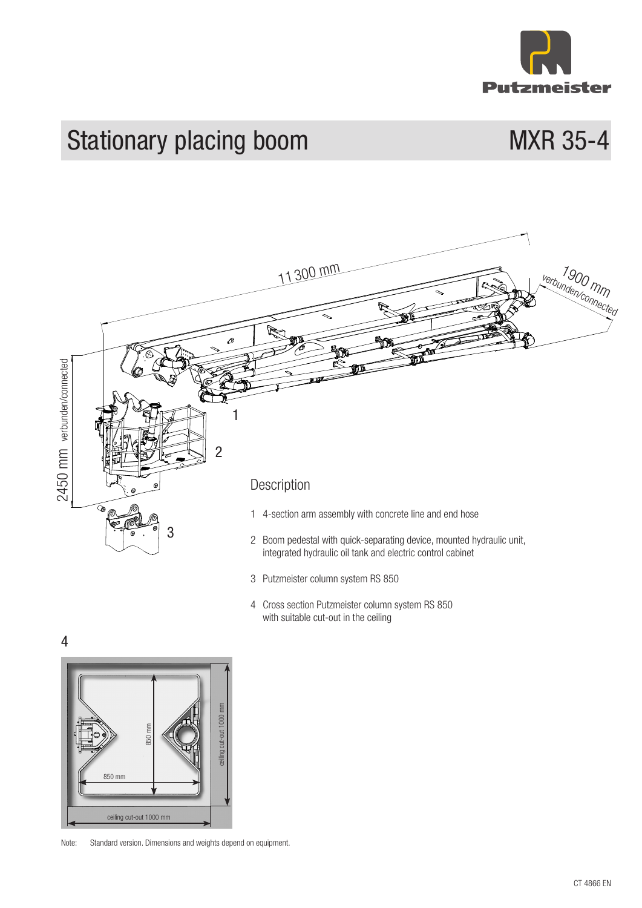

# Stationary placing boom MXR 35-4



- 3 Putzmeister column system RS 850
- 4 Cross section Putzmeister column system RS 850 with suitable cut-out in the ceiling

4



Note: Standard version. Dimensions and weights depend on equipment.